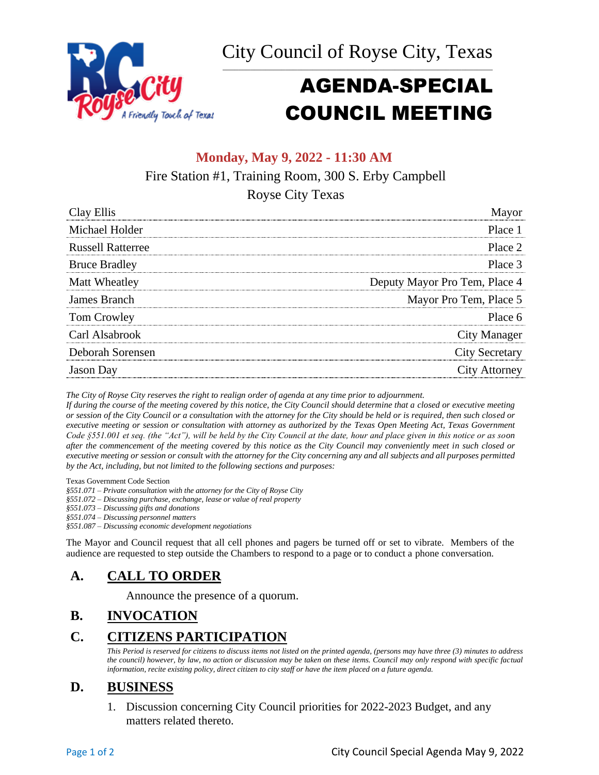City Council of Royse City, Texas \_\_\_\_\_\_\_\_\_\_\_\_\_\_\_\_\_\_\_\_\_\_\_\_\_\_\_\_\_\_\_\_\_\_\_\_\_\_\_\_\_\_\_\_\_\_\_\_\_\_\_\_\_\_\_\_\_\_\_\_\_\_\_\_\_\_\_\_\_



# AGENDA-SPECIAL COUNCIL MEETING

# **Monday, May 9, 2022 - 11:30 AM**

Fire Station #1, Training Room, 300 S. Erby Campbell

Royse City Texas

| Clay Ellis               |                               |
|--------------------------|-------------------------------|
| Michael Holder           | Place 1                       |
| <b>Russell Ratterree</b> | Place 2                       |
| <b>Bruce Bradley</b>     | Place 3                       |
| Matt Wheatley            | Deputy Mayor Pro Tem, Place 4 |
| James Branch             | Mayor Pro Tem, Place 5        |
| Tom Crowley              | Place 6                       |
| Carl Alsabrook           | <b>City Manager</b>           |
| Deborah Sorensen         | <b>City Secretary</b>         |
| <b>Jason</b> Day         | <b>City Attorney</b>          |

*The City of Royse City reserves the right to realign order of agenda at any time prior to adjournment.*

*If during the course of the meeting covered by this notice, the City Council should determine that a closed or executive meeting or session of the City Council or a consultation with the attorney for the City should be held or is required, then such closed or executive meeting or session or consultation with attorney as authorized by the Texas Open Meeting Act, Texas Government Code §551.001 et seq. (the "Act"), will be held by the City Council at the date, hour and place given in this notice or as soon after the commencement of the meeting covered by this notice as the City Council may conveniently meet in such closed or executive meeting or session or consult with the attorney for the City concerning any and all subjects and all purposes permitted by the Act, including, but not limited to the following sections and purposes:*

Texas Government Code Section

*§551.071 – Private consultation with the attorney for the City of Royse City* 

*§551.072 – Discussing purchase, exchange, lease or value of real property* 

*§551.073 – Discussing gifts and donations*

*§551.074 – Discussing personnel matters*

*§551.087 – Discussing economic development negotiations*

The Mayor and Council request that all cell phones and pagers be turned off or set to vibrate. Members of the audience are requested to step outside the Chambers to respond to a page or to conduct a phone conversation.

# **A. CALL TO ORDER**

Announce the presence of a quorum.

# **B. INVOCATION**

# **C. CITIZENS PARTICIPATION**

*This Period is reserved for citizens to discuss items not listed on the printed agenda, (persons may have three (3) minutes to address the council) however, by law, no action or discussion may be taken on these items. Council may only respond with specific factual information, recite existing policy, direct citizen to city staff or have the item placed on a future agenda.*

## **D. BUSINESS**

1. Discussion concerning City Council priorities for 2022-2023 Budget, and any matters related thereto.